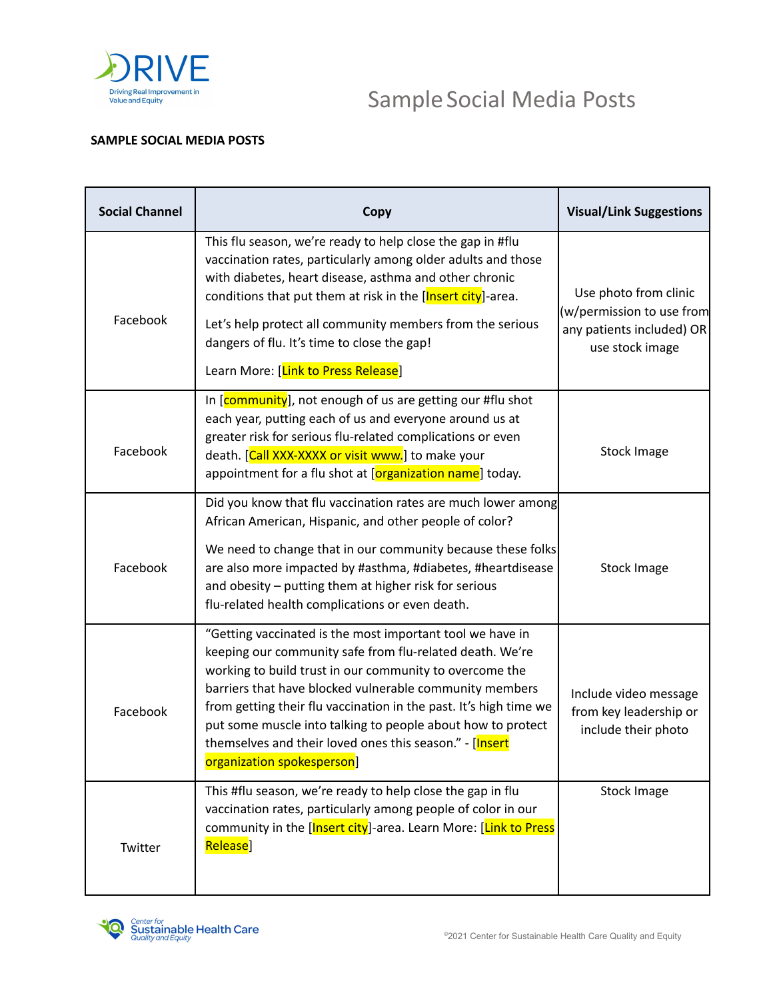

## Sample Social Media Posts

## **SAMPLE SOCIAL MEDIA POSTS**

| <b>Social Channel</b> | Copy                                                                                                                                                                                                                                                                                                                                                                                                                                                                     | <b>Visual/Link Suggestions</b>                                                                     |
|-----------------------|--------------------------------------------------------------------------------------------------------------------------------------------------------------------------------------------------------------------------------------------------------------------------------------------------------------------------------------------------------------------------------------------------------------------------------------------------------------------------|----------------------------------------------------------------------------------------------------|
| Facebook              | This flu season, we're ready to help close the gap in #flu<br>vaccination rates, particularly among older adults and those<br>with diabetes, heart disease, asthma and other chronic<br>conditions that put them at risk in the [Insert city]-area.<br>Let's help protect all community members from the serious<br>dangers of flu. It's time to close the gap!<br>Learn More: [Link to Press Release]                                                                   | Use photo from clinic<br>(w/permission to use from<br>any patients included) OR<br>use stock image |
| Facebook              | In [community], not enough of us are getting our #flu shot<br>each year, putting each of us and everyone around us at<br>greater risk for serious flu-related complications or even<br>death. [Call XXX-XXXX or visit www.] to make your<br>appointment for a flu shot at [organization name] today.                                                                                                                                                                     | Stock Image                                                                                        |
| Facebook              | Did you know that flu vaccination rates are much lower among<br>African American, Hispanic, and other people of color?<br>We need to change that in our community because these folks<br>are also more impacted by #asthma, #diabetes, #heartdisease<br>and obesity - putting them at higher risk for serious<br>flu-related health complications or even death.                                                                                                         | <b>Stock Image</b>                                                                                 |
| Facebook              | "Getting vaccinated is the most important tool we have in<br>keeping our community safe from flu-related death. We're<br>working to build trust in our community to overcome the<br>barriers that have blocked vulnerable community members<br>from getting their flu vaccination in the past. It's high time we<br>put some muscle into talking to people about how to protect<br>themselves and their loved ones this season." - [Insert<br>organization spokesperson] | Include video message<br>from key leadership or<br>include their photo                             |
| Twitter               | This #flu season, we're ready to help close the gap in flu<br>vaccination rates, particularly among people of color in our<br>community in the [Insert city]-area. Learn More: [Link to Press<br>Release]                                                                                                                                                                                                                                                                | Stock Image                                                                                        |

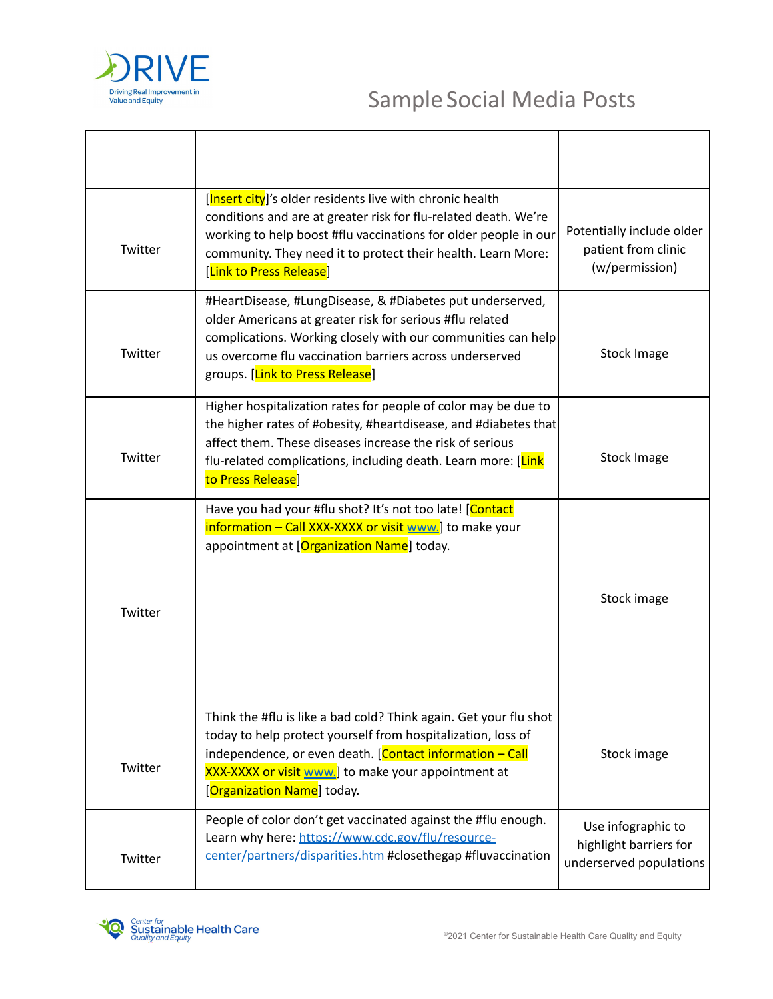

| Twitter | [Insert city]'s older residents live with chronic health<br>conditions and are at greater risk for flu-related death. We're<br>working to help boost #flu vaccinations for older people in our<br>community. They need it to protect their health. Learn More:<br>[Link to Press Release] | Potentially include older<br>patient from clinic<br>(w/permission)      |
|---------|-------------------------------------------------------------------------------------------------------------------------------------------------------------------------------------------------------------------------------------------------------------------------------------------|-------------------------------------------------------------------------|
| Twitter | #HeartDisease, #LungDisease, & #Diabetes put underserved,<br>older Americans at greater risk for serious #flu related<br>complications. Working closely with our communities can help<br>us overcome flu vaccination barriers across underserved<br>groups. [Link to Press Release]       | <b>Stock Image</b>                                                      |
| Twitter | Higher hospitalization rates for people of color may be due to<br>the higher rates of #obesity, #heartdisease, and #diabetes that<br>affect them. These diseases increase the risk of serious<br>flu-related complications, including death. Learn more: [Link]<br>to Press Release]      | <b>Stock Image</b>                                                      |
| Twitter | Have you had your #flu shot? It's not too late! [Contact<br>information - Call XXX-XXXX or visit www.] to make your<br>appointment at [Organization Name] today.                                                                                                                          | Stock image                                                             |
| Twitter | Think the #flu is like a bad cold? Think again. Get your flu shot<br>today to help protect yourself from hospitalization, loss of<br>independence, or even death. [Contact information - Call<br>XXX-XXXX or visit www.] to make your appointment at<br>[Organization Name] today.        | Stock image                                                             |
| Twitter | People of color don't get vaccinated against the #flu enough.<br>Learn why here: https://www.cdc.gov/flu/resource-<br>center/partners/disparities.htm #closethegap #fluvaccination                                                                                                        | Use infographic to<br>highlight barriers for<br>underserved populations |